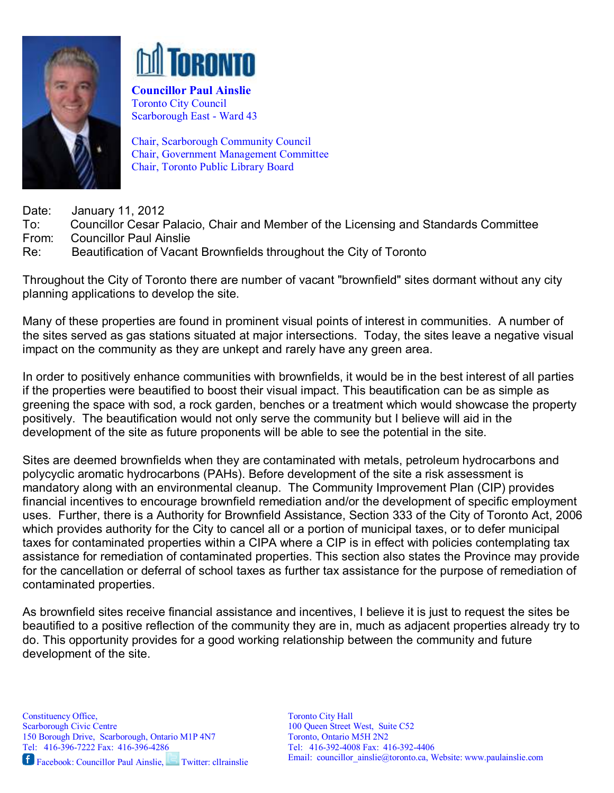



Councillor Paul Ainslie Toronto City Council Scarborough East - Ward 43

Chair, Scarborough Community Council Chair, Government Management Committee Chair, Toronto Public Library Board

Date: January 11, 2012

To: Councillor Cesar Palacio, Chair and Member of the Licensing and Standards Committee From: Councillor Paul Ainslie

Re: Beautification of Vacant Brownfields throughout the City of Toronto

Throughout the City of Toronto there are number of vacant "brownfield" sites dormant without any city planning applications to develop the site.

Many of these properties are found in prominent visual points of interest in communities. A number of the sites served as gas stations situated at major intersections. Today, the sites leave a negative visual impact on the community as they are unkept and rarely have any green area.

In order to positively enhance communities with brownfields, it would be in the best interest of all parties if the properties were beautified to boost their visual impact. This beautification can be as simple as greening the space with sod, a rock garden, benches or a treatment which would showcase the property positively. The beautification would not only serve the community but I believe will aid in the development of the site as future proponents will be able to see the potential in the site.

Sites are deemed brownfields when they are contaminated with metals, petroleum hydrocarbons and polycyclic aromatic hydrocarbons (PAHs). Before development of the site a risk assessment is mandatory along with an environmental cleanup. The Community Improvement Plan (CIP) provides financial incentives to encourage brownfield remediation and/or the development of specific employment uses. Further, there is a Authority for Brownfield Assistance, Section 333 of the City of Toronto Act, 2006 which provides authority for the City to cancel all or a portion of municipal taxes, or to defer municipal taxes for contaminated properties within a CIPA where a CIP is in effect with policies contemplating tax assistance for remediation of contaminated properties. This section also states the Province may provide for the cancellation or deferral of school taxes as further tax assistance for the purpose of remediation of contaminated properties.

As brownfield sites receive financial assistance and incentives, I believe it is just to request the sites be beautified to a positive reflection of the community they are in, much as adjacent properties already try to do. This opportunity provides for a good working relationship between the community and future development of the site.

Facebook: Councillor Paul Ainslie, Twitter: cllrainslie

Toronto City Hall 100 Queen Street West, Suite C52 Toronto, Ontario M5H 2N2 Tel: 416-392-4008 Fax: 416-392-4406 Email: councillor ainslie@toronto.ca, Website: www.paulainslie.com